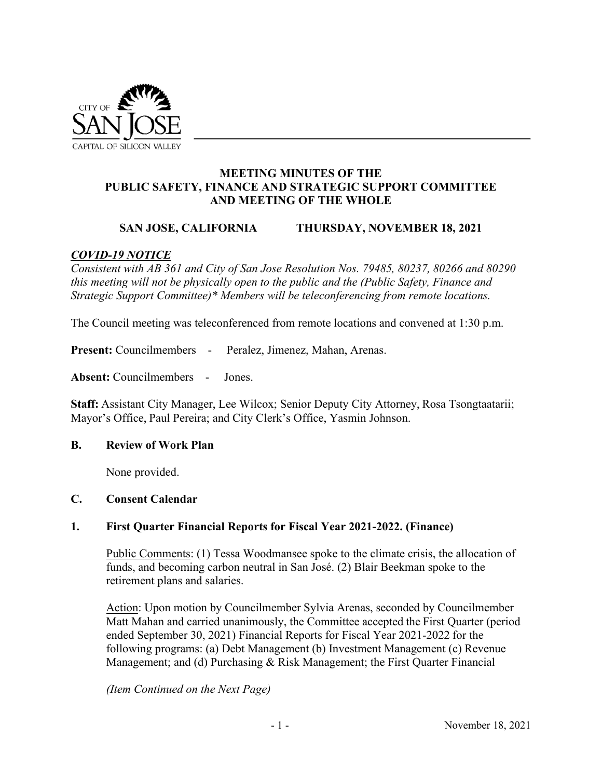

### **MEETING MINUTES OF THE PUBLIC SAFETY, FINANCE AND STRATEGIC SUPPORT COMMITTEE AND MEETING OF THE WHOLE**

## **SAN JOSE, CALIFORNIA THURSDAY, NOVEMBER 18, 2021**

## *COVID-19 NOTICE*

*Consistent with AB 361 and City of San Jose Resolution Nos. 79485, 80237, 80266 and 80290 this meeting will not be physically open to the public and the (Public Safety, Finance and Strategic Support Committee)\* Members will be teleconferencing from remote locations.* 

The Council meeting was teleconferenced from remote locations and convened at 1:30 p.m.

**Present:** Councilmembers - Peralez, Jimenez, Mahan, Arenas.

**Absent:** Councilmembers - Jones.

**Staff:** Assistant City Manager, Lee Wilcox; Senior Deputy City Attorney, Rosa Tsongtaatarii; Mayor's Office, Paul Pereira; and City Clerk's Office, Yasmin Johnson.

## **B. Review of Work Plan**

None provided.

#### **C. Consent Calendar**

## **1. First Quarter Financial Reports for Fiscal Year 2021-2022. (Finance)**

Public Comments: (1) Tessa Woodmansee spoke to the climate crisis, the allocation of funds, and becoming carbon neutral in San José. (2) Blair Beekman spoke to the retirement plans and salaries.

Action: Upon motion by Councilmember Sylvia Arenas, seconded by Councilmember Matt Mahan and carried unanimously, the Committee accepted the First Quarter (period ended September 30, 2021) Financial Reports for Fiscal Year 2021-2022 for the following programs: (a) Debt Management (b) Investment Management (c) Revenue Management; and (d) Purchasing & Risk Management; the First Quarter Financial

*(Item Continued on the Next Page)*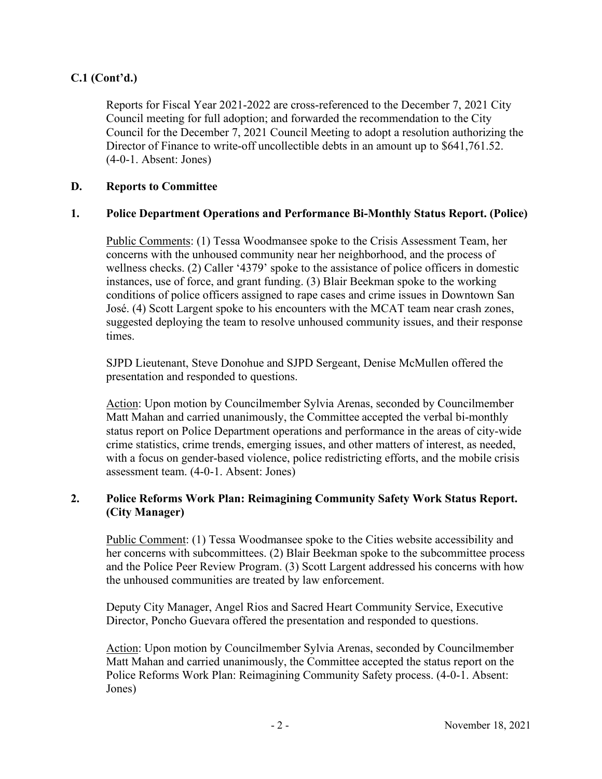# **C.1 (Cont'd.)**

Reports for Fiscal Year 2021-2022 are cross-referenced to the December 7, 2021 City Council meeting for full adoption; and forwarded the recommendation to the City Council for the December 7, 2021 Council Meeting to adopt a resolution authorizing the Director of Finance to write-off uncollectible debts in an amount up to \$641,761.52. (4-0-1. Absent: Jones)

#### **D. Reports to Committee**

#### **1. Police Department Operations and Performance Bi-Monthly Status Report. (Police)**

Public Comments: (1) Tessa Woodmansee spoke to the Crisis Assessment Team, her concerns with the unhoused community near her neighborhood, and the process of wellness checks. (2) Caller '4379' spoke to the assistance of police officers in domestic instances, use of force, and grant funding. (3) Blair Beekman spoke to the working conditions of police officers assigned to rape cases and crime issues in Downtown San José. (4) Scott Largent spoke to his encounters with the MCAT team near crash zones, suggested deploying the team to resolve unhoused community issues, and their response times.

SJPD Lieutenant, Steve Donohue and SJPD Sergeant, Denise McMullen offered the presentation and responded to questions.

Action: Upon motion by Councilmember Sylvia Arenas, seconded by Councilmember Matt Mahan and carried unanimously, the Committee accepted the verbal bi-monthly status report on Police Department operations and performance in the areas of city-wide crime statistics, crime trends, emerging issues, and other matters of interest, as needed, with a focus on gender-based violence, police redistricting efforts, and the mobile crisis assessment team. (4-0-1. Absent: Jones)

## **2. Police Reforms Work Plan: Reimagining Community Safety Work Status Report. (City Manager)**

Public Comment: (1) Tessa Woodmansee spoke to the Cities website accessibility and her concerns with subcommittees. (2) Blair Beekman spoke to the subcommittee process and the Police Peer Review Program. (3) Scott Largent addressed his concerns with how the unhoused communities are treated by law enforcement.

Deputy City Manager, Angel Rios and Sacred Heart Community Service, Executive Director, Poncho Guevara offered the presentation and responded to questions.

Action: Upon motion by Councilmember Sylvia Arenas, seconded by Councilmember Matt Mahan and carried unanimously, the Committee accepted the status report on the Police Reforms Work Plan: Reimagining Community Safety process. (4-0-1. Absent: Jones)